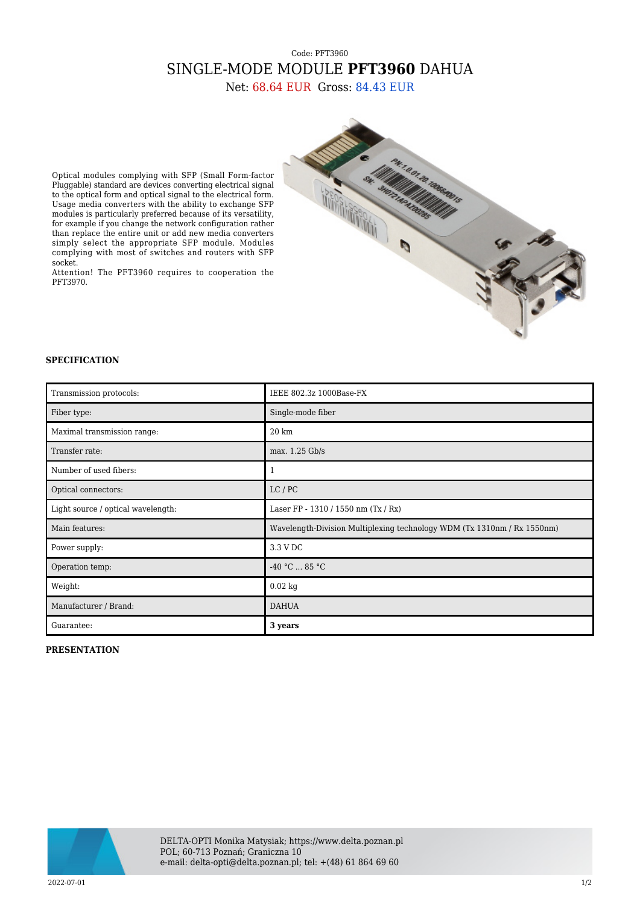## Code: PFT3960 SINGLE-MODE MODULE **PFT3960** DAHUA

Net: 68.64 EUR Gross: 84.43 EUR



Optical modules complying with SFP (Small Form-factor Pluggable) standard are devices converting electrical signal to the optical form and optical signal to the electrical form. Usage media converters with the ability to exchange SFP modules is particularly preferred because of its versatility, for example if you change the network configuration rather than replace the entire unit or add new media converters simply select the appropriate SFP module. Modules complying with most of switches and routers with SFP socket.

Attention! The PFT3960 requires to cooperation the PFT3970.

## **SPECIFICATION**

| Transmission protocols:            | IEEE 802.3z 1000Base-FX                                                 |
|------------------------------------|-------------------------------------------------------------------------|
| Fiber type:                        | Single-mode fiber                                                       |
| Maximal transmission range:        | $20 \mathrm{km}$                                                        |
| Transfer rate:                     | max. 1.25 Gb/s                                                          |
| Number of used fibers:             | 1                                                                       |
| Optical connectors:                | LC/PC                                                                   |
| Light source / optical wavelength: | Laser FP - 1310 / 1550 nm (Tx / Rx)                                     |
| Main features:                     | Wavelength-Division Multiplexing technology WDM (Tx 1310nm / Rx 1550nm) |
| Power supply:                      | 3.3 V DC                                                                |
| Operation temp:                    | $-40 °C  85 °C$                                                         |
| Weight:                            | $0.02$ kg                                                               |
| Manufacturer / Brand:              | <b>DAHUA</b>                                                            |
| Guarantee:                         | 3 years                                                                 |

## **PRESENTATION**